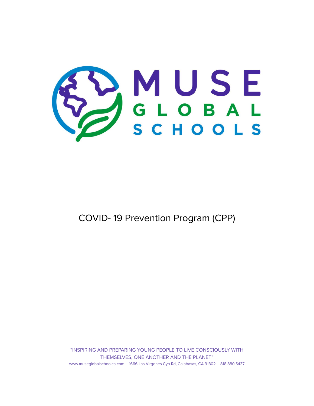

COVID- 19 Prevention Program (CPP)

"INSPIRING AND PREPARING YOUNG PEOPLE TO LIVE CONSCIOUSLY WITH THEMSELVES, ONE ANOTHER AND THE PLANET" www.museglobalschoolca.com – 1666 Las Virgenes Cyn Rd, Calabasas, CA 91302 – 818.880.5437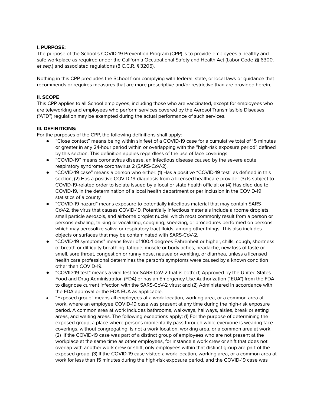## **I. PURPOSE:**

The purpose of the School's COVID-19 Prevention Program (CPP) is to provide employees a healthy and safe workplace as required under the California Occupational Safety and Health Act (Labor Code §§ 6300, et seq.) and associated regulations (8 C.C.R. § 3205).

Nothing in this CPP precludes the School from complying with federal, state, or local laws or guidance that recommends or requires measures that are more prescriptive and/or restrictive than are provided herein.

## **II. SCOPE**

This CPP applies to all School employees, including those who are vaccinated, except for employees who are teleworking and employees who perform services covered by the Aerosol Transmissible Diseases ("ATD") regulation may be exempted during the actual performance of such services.

## **III. DEFINITIONS:**

For the purposes of the CPP, the following definitions shall apply:

- "Close contact" means being within six feet of a COVID-19 case for a cumulative total of 15 minutes or greater in any 24-hour period within or overlapping with the "high-risk exposure period" defined by this section. This definition applies regardless of the use of face coverings.
- "COVID-19" means coronavirus disease, an infectious disease caused by the severe acute respiratory syndrome coronavirus 2 (SARS-CoV-2).
- "COVID-19 case" means a person who either: (1) Has a positive "COVID-19 test" as defined in this section; (2) Has a positive COVID-19 diagnosis from a licensed healthcare provider (3) Is subject to COVID-19-related order to isolate issued by a local or state health official; or (4) Has died due to COVID-19, in the determination of a local health department or per inclusion in the COVID-19 statistics of a county.
- "COVID-19 hazard" means exposure to potentially infectious material that may contain SARS-CoV-2, the virus that causes COVID-19. Potentially infectious materials include airborne droplets, small particle aerosols, and airborne droplet nuclei, which most commonly result from a person or persons exhaling, talking or vocalizing, coughing, sneezing, or procedures performed on persons which may aerosolize saliva or respiratory tract fluids, among other things. This also includes objects or surfaces that may be contaminated with SARS-CoV-2.
- "COVID-19 symptoms" means fever of 100.4 degrees Fahrenheit or higher, chills, cough, shortness of breath or difficulty breathing, fatigue, muscle or body aches, headache, new loss of taste or smell, sore throat, congestion or runny nose, nausea or vomiting, or diarrhea, unless a licensed health care professional determines the person's symptoms were caused by a known condition other than COVID-19.
- "COVID-19 test" means a viral test for SARS-CoV-2 that is both: (1) Approved by the United States Food and Drug Administration (FDA) or has an Emergency Use Authorization ("EUA") from the FDA to diagnose current infection with the SARS-CoV-2 virus; and (2) Administered in accordance with the FDA approval or the FDA EUA as applicable.
- "Exposed group" means all employees at a work location, working area, or a common area at work, where an employee COVID-19 case was present at any time during the high-risk exposure period. A common area at work includes bathrooms, walkways, hallways, aisles, break or eating areas, and waiting areas. The following exceptions apply: (1) For the purpose of determining the exposed group, a place where persons momentarily pass through while everyone is wearing face coverings, without congregating, is not a work location, working area, or a common area at work. (2) If the COVID-19 case was part of a distinct group of employees who are not present at the workplace at the same time as other employees, for instance a work crew or shift that does not overlap with another work crew or shift, only employees within that distinct group are part of the exposed group. (3) If the COVID-19 case visited a work location, working area, or a common area at work for less than 15 minutes during the high-risk exposure period, and the COVID-19 case was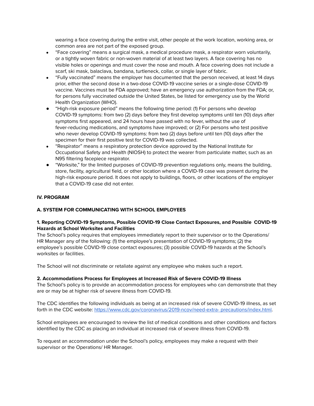wearing a face covering during the entire visit, other people at the work location, working area, or common area are not part of the exposed group.

- "Face covering" means a surgical mask, a medical procedure mask, a respirator worn voluntarily, or a tightly woven fabric or non-woven material of at least two layers. A face covering has no visible holes or openings and must cover the nose and mouth. A face covering does not include a scarf, ski mask, balaclava, bandana, turtleneck, collar, or single layer of fabric.
- "Fully vaccinated" means the employer has documented that the person received, at least 14 days prior, either the second dose in a two-dose COVID-19 vaccine series or a single-dose COVID-19 vaccine. Vaccines must be FDA approved; have an emergency use authorization from the FDA; or, for persons fully vaccinated outside the United States, be listed for emergency use by the World Health Organization (WHO).
- "High-risk exposure period" means the following time period: (1) For persons who develop COVID-19 symptoms: from two (2) days before they first develop symptoms until ten (10) days after symptoms first appeared, and 24 hours have passed with no fever, without the use of fever-reducing medications, and symptoms have improved; or (2) For persons who test positive who never develop COVID-19 symptoms: from two (2) days before until ten (10) days after the specimen for their first positive test for COVID-19 was collected.
- "Respirator" means a respiratory protection device approved by the National Institute for Occupational Safety and Health (NIOSH) to protect the wearer from particulate matter, such as an N95 filtering facepiece respirator.
- "Worksite," for the limited purposes of COVID-19 prevention regulations only, means the building, store, facility, agricultural field, or other location where a COVID-19 case was present during the high-risk exposure period. It does not apply to buildings, floors, or other locations of the employer that a COVID-19 case did not enter.

## **IV. PROGRAM**

# **A. SYSTEM FOR COMMUNICATING WITH SCHOOL EMPLOYEES**

## **1. Reporting COVID-19 Symptoms, Possible COVID-19 Close Contact Exposures, and Possible COVID-19 Hazards at School Worksites and Facilities**

The School's policy requires that employees immediately report to their supervisor or to the Operations/ HR Manager any of the following: (1) the employee's presentation of COVID-19 symptoms; (2) the employee's possible COVID-19 close contact exposures; (3) possible COVID-19 hazards at the School's worksites or facilities.

The School will not discriminate or retaliate against any employee who makes such a report.

## **2. Accommodations Process for Employees at Increased Risk of Severe COVID-19 Illness**

The School's policy is to provide an accommodation process for employees who can demonstrate that they are or may be at higher risk of severe illness from COVID-19.

The CDC identifies the following individuals as being at an increased risk of severe COVID-19 illness, as set forth in the CDC website: <https://www.cdc.gov/coronavirus/2019-ncov/need-extra-> precautions/index.html.

School employees are encouraged to review the list of medical conditions and other conditions and factors identified by the CDC as placing an individual at increased risk of severe illness from COVID-19.

To request an accommodation under the School's policy, employees may make a request with their supervisor or the Operations/ HR Manager.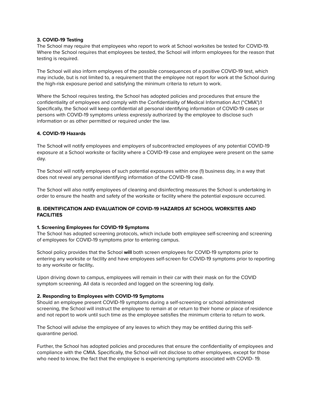## **3. COVID-19 Testing**

The School may require that employees who report to work at School worksites be tested for COVID-19. Where the School requires that employees be tested, the School will inform employees for the reason that testing is required.

The School will also inform employees of the possible consequences of a positive COVID-19 test, which may include, but is not limited to, a requirement that the employee not report for work at the School during the high-risk exposure period and satisfying the minimum criteria to return to work.

Where the School requires testing, the School has adopted policies and procedures that ensure the confidentiality of employees and comply with the Confidentiality of Medical Information Act ("CMIA").1 Specifically, the School will keep confidential all personal identifying information of COVID-19 cases or persons with COVID-19 symptoms unless expressly authorized by the employee to disclose such information or as other permitted or required under the law.

## **4. COVID-19 Hazards**

The Schoo**l** will notify employees and employers of subcontracted employees of any potential COVID-19 exposure at a School worksite or facility where a COVID-19 case and employee were present on the same day.

The School will notify employees of such potential exposures within one (1) business day, in a way that does not reveal any personal identifying information of the COVID-19 case.

The School will also notify employees of cleaning and disinfecting measures the School is undertaking in order to ensure the health and safety of the worksite or facility where the potential exposure occurred.

## **B. IDENTIFICATION AND EVALUATION OF COVID-19 HAZARDS AT SCHOOL WORKSITES AND FACILITIES**

#### **1. Screening Employees for COVID-19 Symptoms**

The School has adopted screening protocols, which include both employee self-screening and screening of employees for COVID-19 symptoms prior to entering campus.

School policy provides that the School **will** both screen employees for COVID-19 symptoms prior to entering any worksite or facility and have employees self-screen for COVID-19 symptoms prior to reporting to any worksite or facility**.**

Upon driving down to campus, employees will remain in their car with their mask on for the COVID symptom screening. All data is recorded and logged on the screening log daily.

#### **2. Responding to Employees with COVID-19 Symptoms**

Should an employee present COVID-19 symptoms during a self-screening or school administered screening, the School will instruct the employee to remain at or return to their home or place of residence and not report to work until such time as the employee satisfies the minimum criteria to return to work.

The School will advise the employee of any leaves to which they may be entitled during this selfquarantine period.

Further, the School has adopted policies and procedures that ensure the confidentiality of employees and compliance with the CMIA. Specifically, the School will not disclose to other employees, except for those who need to know, the fact that the employee is experiencing symptoms associated with COVID- 19.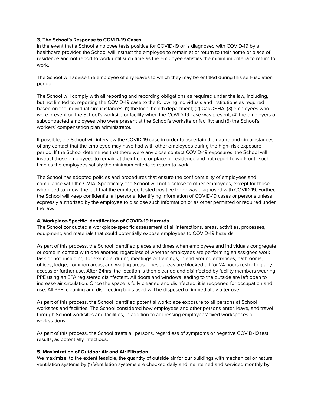### **3. The School's Response to COVID-19 Cases**

In the event that a School employee tests positive for COVID-19 or is diagnosed with COVID-19 by a healthcare provider, the School will instruct the employee to remain at or return to their home or place of residence and not report to work until such time as the employee satisfies the minimum criteria to return to work.

The School will advise the employee of any leaves to which they may be entitled during this self- isolation period.

The School will comply with all reporting and recording obligations as required under the law, including, but not limited to, reporting the COVID-19 case to the following individuals and institutions as required based on the individual circumstances: (1) the local health department; (2) Cal/OSHA; (3) employees who were present on the School's worksite or facility when the COVID-19 case was present; (4) the employers of subcontracted employees who were present at the School's worksite or facility; and (5) the School's workers' compensation plan administrator.

If possible, the School will interview the COVID-19 case in order to ascertain the nature and circumstances of any contact that the employee may have had with other employees during the high- risk exposure period. If the School determines that there were any close contact COVID-19 exposures, the School will instruct those employees to remain at their home or place of residence and not report to work until such time as the employees satisfy the minimum criteria to return to work.

The School has adopted policies and procedures that ensure the confidentiality of employees and compliance with the CMIA. Specifically, the School will not disclose to other employees, except for those who need to know, the fact that the employee tested positive for or was diagnosed with COVID-19. Further, the School will keep confidential all personal identifying information of COVID-19 cases or persons unless expressly authorized by the employee to disclose such information or as other permitted or required under the law.

#### **4. Workplace-Specific Identification of COVID-19 Hazards**

The School conducted a workplace-specific assessment of all interactions, areas, activities, processes, equipment, and materials that could potentially expose employees to COVID-19 hazards.

As part of this process, the School identified places and times when employees and individuals congregate or come in contact with one another, regardless of whether employees are performing an assigned work task or not, including, for example, during meetings or trainings, in and around entrances, bathrooms, offices, lodge, common areas, and waiting areas. These areas are blocked off for 24 hours restricting any access or further use. After 24hrs, the location is then cleaned and disinfected by facility members wearing PPE using an EPA registered disinfectant. All doors and windows leading to the outside are left open to increase air circulation. Once the space is fully cleaned and disinfected, it is reopened for occupation and use. All PPE, cleaning and disinfecting tools used will be disposed of immediately after use.

As part of this process, the School identified potential workplace exposure to all persons at School worksites and facilities. The School considered how employees and other persons enter, leave, and travel through School worksites and facilities, in addition to addressing employees' fixed workspaces or workstations.

As part of this process, the School treats all persons, regardless of symptoms or negative COVID-19 test results, as potentially infectious.

#### **5. Maximization of Outdoor Air and Air Filtration**

We maximize, to the extent feasible, the quantity of outside air for our buildings with mechanical or natural ventilation systems by (1) Ventilation systems are checked daily and maintained and serviced monthly by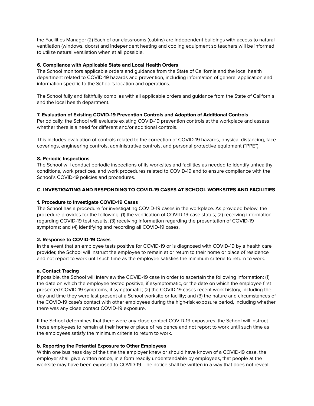the Facilities Manager (2) Each of our classrooms (cabins) are independent buildings with access to natural ventilation (windows, doors) and independent heating and cooling equipment so teachers will be informed to utilize natural ventilation when at all possible.

## **6. Compliance with Applicable State and Local Health Orders**

The School monitors applicable orders and guidance from the State of California and the local health department related to COVID-19 hazards and prevention, including information of general application and information specific to the School's location and operations.

The School fully and faithfully complies with all applicable orders and guidance from the State of California and the local health department.

## **7. Evaluation of Existing COVID-19 Prevention Controls and Adoption of Additional Controls**

Periodically, the School will evaluate existing COVID-19 prevention controls at the workplace and assess whether there is a need for different and/or additional controls.

This includes evaluation of controls related to the correction of COVID-19 hazards, physical distancing, face coverings, engineering controls, administrative controls, and personal protective equipment ("PPE").

## **8. Periodic Inspections**

The School will conduct periodic inspections of its worksites and facilities as needed to identify unhealthy conditions, work practices, and work procedures related to COVID-19 and to ensure compliance with the School's COVID-19 policies and procedures.

## **C. INVESTIGATING AND RESPONDING TO COVID-19 CASES AT SCHOOL WORKSITES AND FACILITIES**

## **1. Procedure to Investigate COVID-19 Cases**

The School has a procedure for investigating COVID-19 cases in the workplace. As provided below, the procedure provides for the following: (1) the verification of COVID-19 case status; (2) receiving information regarding COVID-19 test results; (3) receiving information regarding the presentation of COVID-19 symptoms; and (4) identifying and recording all COVID-19 cases.

## **2. Response to COVID-19 Cases**

In the event that an employee tests positive for COVID-19 or is diagnosed with COVID-19 by a health care provider, the School will instruct the employee to remain at or return to their home or place of residence and not report to work until such time as the employee satisfies the minimum criteria to return to work.

## **a. Contact Tracing**

If possible, the School will interview the COVID-19 case in order to ascertain the following information: (1) the date on which the employee tested positive, if asymptomatic, or the date on which the employee first presented COVID-19 symptoms, if symptomatic; (2) the COVID-19 cases recent work history, including the day and time they were last present at a School worksite or facility; and (3) the nature and circumstances of the COVID-19 case's contact with other employees during the high-risk exposure period, including whether there was any close contact COVID-19 exposure.

If the School determines that there were any close contact COVID-19 exposures, the School will instruct those employees to remain at their home or place of residence and not report to work until such time as the employees satisfy the minimum criteria to return to work.

## **b. Reporting the Potential Exposure to Other Employees**

Within one business day of the time the employer knew or should have known of a COVID-19 case, the employer shall give written notice, in a form readily understandable by employees, that people at the worksite may have been exposed to COVID-19. The notice shall be written in a way that does not reveal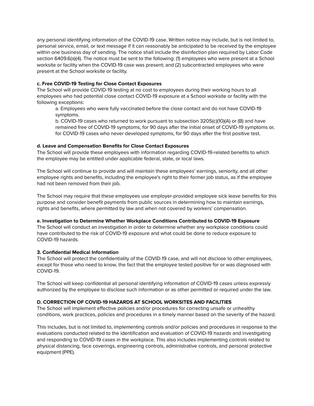any personal identifying information of the COVID-19 case. Written notice may include, but is not limited to, personal service, email, or text message if it can reasonably be anticipated to be received by the employee within one business day of sending. The notice shall include the disinfection plan required by Labor Code section 6409.6(a)(4). The notice must be sent to the following: (1) employees who were present at a School worksite or facility when the COVID-19 case was present; and (2) subcontracted employees who were present at the School worksite or facility.

## **c. Free COVID-19 Testing for Close Contact Exposures**

The School will provide COVID-19 testing at no cost to employees during their working hours to all employees who had potential close contact COVID-19 exposure at a School worksite or facility with the following exceptions:

a. Employees who were fully vaccinated before the close contact and do not have COVID-19 symptoms.

b. COVID-19 cases who returned to work pursuant to subsection 3205(c)(10)(A) or (B) and have remained free of COVID-19 symptoms, for 90 days after the initial onset of COVID-19 symptoms or, for COVID-19 cases who never developed symptoms, for 90 days after the first positive test.

## **d. Leave and Compensation Benefits for Close Contact Exposures**

The School will provide these employees with information regarding COVID-19-related benefits to which the employee may be entitled under applicable federal, state, or local laws.

The School will continue to provide and will maintain these employees' earnings, seniority, and all other employee rights and benefits, including the employee's right to their former job status, as if the employee had not been removed from their job.

The School may require that these employees use employer-provided employee sick leave benefits for this purpose and consider benefit payments from public sources in determining how to maintain earnings, rights and benefits, where permitted by law and when not covered by workers' compensation.

## **e. Investigation to Determine Whether Workplace Conditions Contributed to COVID-19 Exposure**

The School will conduct an investigation in order to determine whether any workplace conditions could have contributed to the risk of COVID-19 exposure and what could be done to reduce exposure to COVID-19 hazards.

## **3. Confidential Medical Information**

The School will protect the confidentiality of the COVID-19 case, and will not disclose to other employees, except for those who need to know, the fact that the employee tested positive for or was diagnosed with COVID-19.

The School will keep confidential all personal identifying information of COVID-19 cases unless expressly authorized by the employee to disclose such information or as other permitted or required under the law.

## **D. CORRECTION OF COVID-19 HAZARDS AT SCHOOL WORKSITES AND FACILITIES**

The School will implement effective policies and/or procedures for correcting unsafe or unhealthy conditions, work practices, policies and procedures in a timely manner based on the severity of the hazard.

This includes, but is not limited to, implementing controls and/or policies and procedures in response to the evaluations conducted related to the identification and evaluation of COVID-19 hazards and investigating and responding to COVID-19 cases in the workplace. This also includes implementing controls related to physical distancing, face coverings, engineering controls, administrative controls, and personal protective equipment (PPE).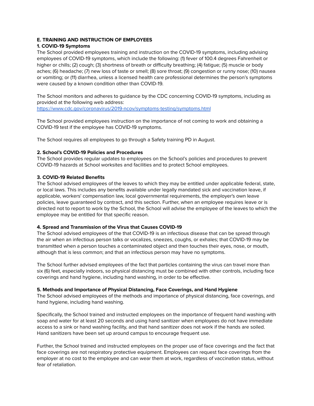## **E. TRAINING AND INSTRUCTION OF EMPLOYEES**

## **1. COVID-19 Symptoms**

The School provided employees training and instruction on the COVID-19 symptoms, including advising employees of COVID-19 symptoms, which include the following: (1) fever of 100.4 degrees Fahrenheit or higher or chills; (2) cough; (3) shortness of breath or difficulty breathing; (4) fatigue; (5) muscle or body aches; (6) headache; (7) new loss of taste or smell; (8) sore throat; (9) congestion or runny nose; (10) nausea or vomiting; or (11) diarrhea, unless a licensed health care professional determines the person's symptoms were caused by a known condition other than COVID-19.

The School monitors and adheres to guidance by the CDC concerning COVID-19 symptoms, including as provided at the following web address:

<https://www.cdc.gov/coronavirus/2019-ncov/symptoms-testing/symptoms.html>

The School provided employees instruction on the importance of not coming to work and obtaining a COVID-19 test if the employee has COVID-19 symptoms.

The School requires all employees to go through a Safety training PD in August.

# **2. School's COVID-19 Policies and Procedures**

The School provides regular updates to employees on the School's policies and procedures to prevent COVID-19 hazards at School worksites and facilities and to protect School employees.

## **3. COVID-19 Related Benefits**

The School advised employees of the leaves to which they may be entitled under applicable federal, state, or local laws. This includes any benefits available under legally mandated sick and vaccination leave, if applicable, workers' compensation law, local governmental requirements, the employer's own leave policies, leave guaranteed by contract, and this section. Further, when an employee requires leave or is directed not to report to work by the School, the School will advise the employee of the leaves to which the employee may be entitled for that specific reason.

# **4. Spread and Transmission of the Virus that Causes COVID-19**

The School advised employees of the that COVID-19 is an infectious disease that can be spread through the air when an infectious person talks or vocalizes, sneezes, coughs, or exhales; that COVID-19 may be transmitted when a person touches a contaminated object and then touches their eyes, nose, or mouth, although that is less common; and that an infectious person may have no symptoms.

The School further advised employees of the fact that particles containing the virus can travel more than six (6) feet, especially indoors, so physical distancing must be combined with other controls, including face coverings and hand hygiene, including hand washing, in order to be effective.

## **5. Methods and Importance of Physical Distancing, Face Coverings, and Hand Hygiene**

The School advised employees of the methods and importance of physical distancing, face coverings, and hand hygiene, including hand washing.

Specifically, the School trained and instructed employees on the importance of frequent hand washing with soap and water for at least 20 seconds and using hand sanitizer when employees do not have immediate access to a sink or hand washing facility, and that hand sanitizer does not work if the hands are soiled. Hand sanitizers have been set up around campus to encourage frequent use.

Further, the School trained and instructed employees on the proper use of face coverings and the fact that face coverings are not respiratory protective equipment. Employees can request face coverings from the employer at no cost to the employee and can wear them at work, regardless of vaccination status, without fear of retaliation.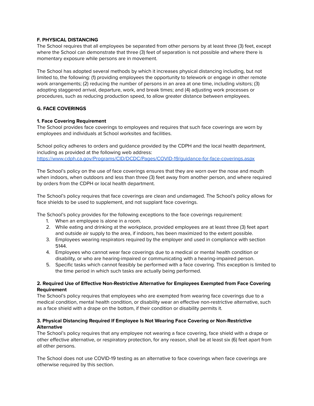## **F. PHYSICAL DISTANCING**

The School requires that all employees be separated from other persons by at least three (3) feet, except where the School can demonstrate that three (3) feet of separation is not possible and where there is momentary exposure while persons are in movement.

The School has adopted several methods by which it increases physical distancing including, but not limited to, the following: (1) providing employees the opportunity to telework or engage in other remote work arrangements; (2) reducing the number of persons in an area at one time, including visitors; (3) adopting staggered arrival, departure, work, and break times; and (4) adjusting work processes or procedures, such as reducing production speed, to allow greater distance between employees.

# **G. FACE COVERINGS**

## **1. Face Covering Requirement**

The School provides face coverings to employees and requires that such face coverings are worn by employees and individuals at School worksites and facilities.

School policy adheres to orders and guidance provided by the CDPH and the local health department, including as provided at the following web address: <https://www.cdph.ca.gov/Programs/CID/DCDC/Pages/COVID-19/guidance-for-face-coverings.aspx>

The School's policy on the use of face coverings ensures that they are worn over the nose and mouth when indoors, when outdoors and less than three (3) feet away from another person, and where required by orders from the CDPH or local health department.

The School's policy requires that face coverings are clean and undamaged. The School's policy allows for face shields to be used to supplement, and not supplant face coverings.

The School's policy provides for the following exceptions to the face coverings requirement:

- 1. When an employee is alone in a room.
- 2. While eating and drinking at the workplace, provided employees are at least three (3) feet apart and outside air supply to the area, if indoors, has been maximized to the extent possible.
- 3. Employees wearing respirators required by the employer and used in compliance with section 5144.
- 4. Employees who cannot wear face coverings due to a medical or mental health condition or disability, or who are hearing-impaired or communicating with a hearing-impaired person.
- 5. Specific tasks which cannot feasibly be performed with a face covering. This exception is limited to the time period in which such tasks are actually being performed.

## **2. Required Use of Effective Non-Restrictive Alternative for Employees Exempted from Face Covering Requirement**

The School's policy requires that employees who are exempted from wearing face coverings due to a medical condition, mental health condition, or disability wear an effective non-restrictive alternative, such as a face shield with a drape on the bottom, if their condition or disability permits it.

# **3. Physical Distancing Required If Employee Is Not Wearing Face Covering or Non-Restrictive Alternative**

The School's policy requires that any employee not wearing a face covering, face shield with a drape or other effective alternative, or respiratory protection, for any reason, shall be at least six (6) feet apart from all other persons.

The School does not use COVID-19 testing as an alternative to face coverings when face coverings are otherwise required by this section.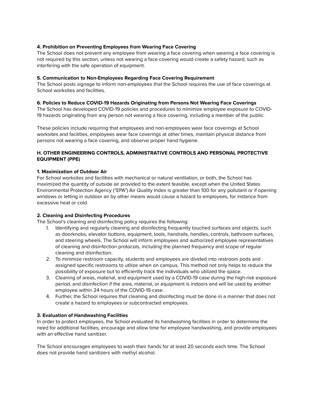## **4. Prohibition on Preventing Employees from Wearing Face Covering**

The School does not prevent any employee from wearing a face covering when wearing a face covering is not required by this section, unless not wearing a face covering would create a safety hazard, such as interfering with the safe operation of equipment.

## **5. Communication to Non-Employees Regarding Face Covering Requirement**

The School posts signage to inform non-employees that the School requires the use of face coverings at School worksites and facilities.

## **6. Policies to Reduce COVID-19 Hazards Originating from Persons Not Wearing Face Coverings**

The School has developed COVID-19 policies and procedures to minimize employee exposure to COVID-19 hazards originating from any person not wearing a face covering, including a member of the public.

These policies include requiring that employees and non-employees wear face coverings at School worksites and facilities, employees wear face coverings at other times, maintain physical distance from persons not wearing a face covering, and observe proper hand hygiene.

## **H. OTHER ENGINEERING CONTROLS, ADMINISTRATIVE CONTROLS AND PERSONAL PROTECTIVE EQUIPMENT (PPE)**

## **1. Maximization of Outdoor Air**

For School worksites and facilities with mechanical or natural ventilation, or both, the School has maximized the quantity of outside air provided to the extent feasible, except when the United States Environmental Protection Agency ("EPA") Air Quality Index is greater than 100 for any pollutant or if opening windows or letting in outdoor air by other means would cause a hazard to employees, for instance from excessive heat or cold.

## **2. Cleaning and Disinfecting Procedures**

The School's cleaning and disinfecting policy requires the following:

- 1. Identifying and regularly cleaning and disinfecting frequently touched surfaces and objects, such as doorknobs, elevator buttons, equipment, tools, handrails, handles, controls, bathroom surfaces, and steering wheels. The School will inform employees and authorized employee representatives of cleaning and disinfection protocols, including the planned frequency and scope of regular cleaning and disinfection.
- 2. To minimize restroom capacity, students and employees are divided into restroom pods and assigned specific restrooms to utilize when on campus. This method not only helps to reduce the possibility of exposure but to efficiently track the individuals who utilized the space.
- 3. Cleaning of areas, material, and equipment used by a COVID-19 case during the high-risk exposure period, and disinfection if the area, material, or equipment is indoors and will be used by another employee within 24 hours of the COVID-19 case.
- 4. Further, the School requires that cleaning and disinfecting must be done in a manner that does not create a hazard to employees or subcontracted employees.

## **3. Evaluation of Handwashing Facilities**

In order to protect employees, the School evaluated its handwashing facilities in order to determine the need for additional facilities, encourage and allow time for employee handwashing, and provide employees with an effective hand sanitizer.

The School encourages employees to wash their hands for at least 20 seconds each time. The School does not provide hand sanitizers with methyl alcohol.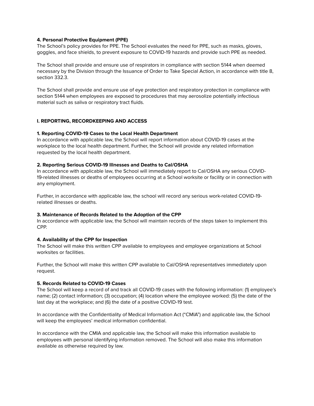#### **4. Personal Protective Equipment (PPE)**

The School's policy provides for PPE. The School evaluates the need for PPE, such as masks, gloves, goggles, and face shields, to prevent exposure to COVID-19 hazards and provide such PPE as needed.

The School shall provide and ensure use of respirators in compliance with section 5144 when deemed necessary by the Division through the Issuance of Order to Take Special Action, in accordance with title 8, section 332.3.

The School shall provide and ensure use of eye protection and respiratory protection in compliance with section 5144 when employees are exposed to procedures that may aerosolize potentially infectious material such as saliva or respiratory tract fluids.

#### **I. REPORTING, RECORDKEEPING AND ACCESS**

#### **1. Reporting COVID-19 Cases to the Local Health Department**

In accordance with applicable law, the School will report information about COVID-19 cases at the workplace to the local health department. Further, the School will provide any related information requested by the local health department.

#### **2. Reporting Serious COVID-19 Illnesses and Deaths to Cal/OSHA**

In accordance with applicable law, the School will immediately report to Cal/OSHA any serious COVID-19-related illnesses or deaths of employees occurring at a School worksite or facility or in connection with any employment.

Further, in accordance with applicable law, the school will record any serious work-related COVID-19 related illnesses or deaths.

## **3. Maintenance of Records Related to the Adoption of the CPP**

In accordance with applicable law, the School will maintain records of the steps taken to implement this CPP.

#### **4. Availability of the CPP for Inspection**

The School will make this written CPP available to employees and employee organizations at School worksites or facilities.

Further, the School will make this written CPP available to Cal/OSHA representatives immediately upon request.

#### **5. Records Related to COVID-19 Cases**

The School will keep a record of and track all COVID-19 cases with the following information: (1) employee's name; (2) contact information; (3) occupation; (4) location where the employee worked: (5) the date of the last day at the workplace; and (6) the date of a positive COVID-19 test.

In accordance with the Confidentiality of Medical Information Act ("CMIA") and applicable law, the School will keep the employees' medical information confidential.

In accordance with the CMIA and applicable law, the School will make this information available to employees with personal identifying information removed. The School will also make this information available as otherwise required by law.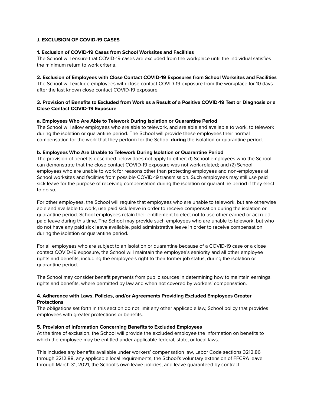## **J. EXCLUSION OF COVID-19 CASES**

#### **1. Exclusion of COVID-19 Cases from School Worksites and Facilities**

The School will ensure that COVID-19 cases are excluded from the workplace until the individual satisfies the minimum return to work criteria.

## **2. Exclusion of Employees with Close Contact COVID-19 Exposures from School Worksites and Facilities**

The School will exclude employees with close contact COVID-19 exposure from the workplace for 10 days after the last known close contact COVID-19 exposure.

## 3. Provision of Benefits to Excluded from Work as a Result of a Positive COVID-19 Test or Diagnosis or a **Close Contact COVID-19 Exposure**

## **a. Employees Who Are Able to Telework During Isolation or Quarantine Period**

The School will allow employees who are able to telework, and are able and available to work, to telework during the isolation or quarantine period. The School will provide these employees their normal compensation for the work that they perform for the School **during** the isolation or quarantine period.

#### **b. Employees Who Are Unable to Telework During Isolation or Quarantine Period**

The provision of benefits described below does not apply to either: (1) School employees who the School can demonstrate that the close contact COVID-19 exposure was not work-related; and (2) School employees who are unable to work for reasons other than protecting employees and non-employees at School worksites and facilities from possible COVID-19 transmission. Such employees may still use paid sick leave for the purpose of receiving compensation during the isolation or quarantine period if they elect to do so.

For other employees, the School will require that employees who are unable to telework, but are otherwise able and available to work, use paid sick leave in order to receive compensation during the isolation or quarantine period. School employees retain their entitlement to elect not to use other earned or accrued paid leave during this time. The School may provide such employees who are unable to telework, but who do not have any paid sick leave available, paid administrative leave in order to receive compensation during the isolation or quarantine period.

For all employees who are subject to an isolation or quarantine because of a COVID-19 case or a close contact COVID-19 exposure, the School will maintain the employee's seniority and all other employee rights and benefits, including the employee's right to their former job status, during the isolation or quarantine period.

The School may consider benefit payments from public sources in determining how to maintain earnings, rights and benefits, where permitted by law and when not covered by workers' compensation.

## **4. Adherence with Laws, Policies, and/or Agreements Providing Excluded Employees Greater Protections**

The obligations set forth in this section do not limit any other applicable law, School policy that provides employees with greater protections or benefits.

## **5. Provision of Information Concerning Benefits to Excluded Employees**

At the time of exclusion, the School will provide the excluded employee the information on benefits to which the employee may be entitled under applicable federal, state, or local laws.

This includes any benefits available under workers' compensation law, Labor Code sections 3212.86 through 3212.88, any applicable local requirements, the School's voluntary extension of FFCRA leave through March 31, 2021, the School's own leave policies, and leave guaranteed by contract.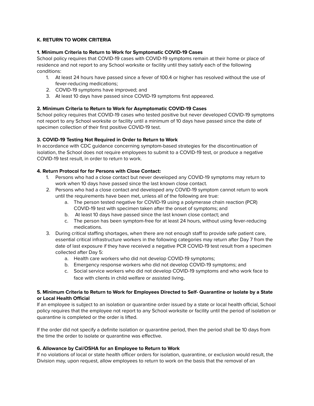# **K. RETURN TO WORK CRITERIA**

## **1. Minimum Criteria to Return to Work for Symptomatic COVID-19 Cases**

School policy requires that COVID-19 cases with COVID-19 symptoms remain at their home or place of residence and not report to any School worksite or facility until they satisfy each of the following conditions:

- 1. At least 24 hours have passed since a fever of 100.4 or higher has resolved without the use of fever-reducing medications;
- 2. COVID-19 symptoms have improved; and
- 3. At least 10 days have passed since COVID-19 symptoms first appeared.

## **2. Minimum Criteria to Return to Work for Asymptomatic COVID-19 Cases**

School policy requires that COVID-19 cases who tested positive but never developed COVID-19 symptoms not report to any School worksite or facility until a minimum of 10 days have passed since the date of specimen collection of their first positive COVID-19 test.

## **3. COVID-19 Testing Not Required in Order to Return to Work**

In accordance with CDC guidance concerning symptom-based strategies for the discontinuation of isolation, the School does not require employees to submit to a COVID-19 test, or produce a negative COVID-19 test result, in order to return to work.

# **4. Return Protocol for for Persons with Close Contact:**

- 1. Persons who had a close contact but never developed any COVID-19 symptoms may return to work when 10 days have passed since the last known close contact.
- 2. Persons who had a close contact and developed any COVID-19 symptom cannot return to work until the requirements have been met, unless all of the following are true:
	- a. The person tested negative for COVID-19 using a polymerase chain reaction (PCR) COVID-19 test with specimen taken after the onset of symptoms; and
	- b. At least 10 days have passed since the last known close contact; and
	- c. The person has been symptom-free for at least 24 hours, without using fever-reducing medications.
- 3. During critical staffing shortages, when there are not enough staff to provide safe patient care, essential critical infrastructure workers in the following categories may return after Day 7 from the date of last exposure if they have received a negative PCR COVID-19 test result from a specimen collected after Day 5:
	- a. Health care workers who did not develop COVID-19 symptoms;
	- b. Emergency response workers who did not develop COVID-19 symptoms; and
	- c. Social service workers who did not develop COVID-19 symptoms and who work face to face with clients in child welfare or assisted living.

## 5. Minimum Criteria to Return to Work for Employees Directed to Self- Quarantine or Isolate by a State **or Local Health Official**

If an employee is subject to an isolation or quarantine order issued by a state or local health official, School policy requires that the employee not report to any School worksite or facility until the period of isolation or quarantine is completed or the order is lifted.

If the order did not specify a definite isolation or quarantine period, then the period shall be 10 days from the time the order to isolate or quarantine was effective.

## **6. Allowance by Cal/OSHA for an Employee to Return to Work**

If no violations of local or state health officer orders for isolation, quarantine, or exclusion would result, the Division may, upon request, allow employees to return to work on the basis that the removal of an